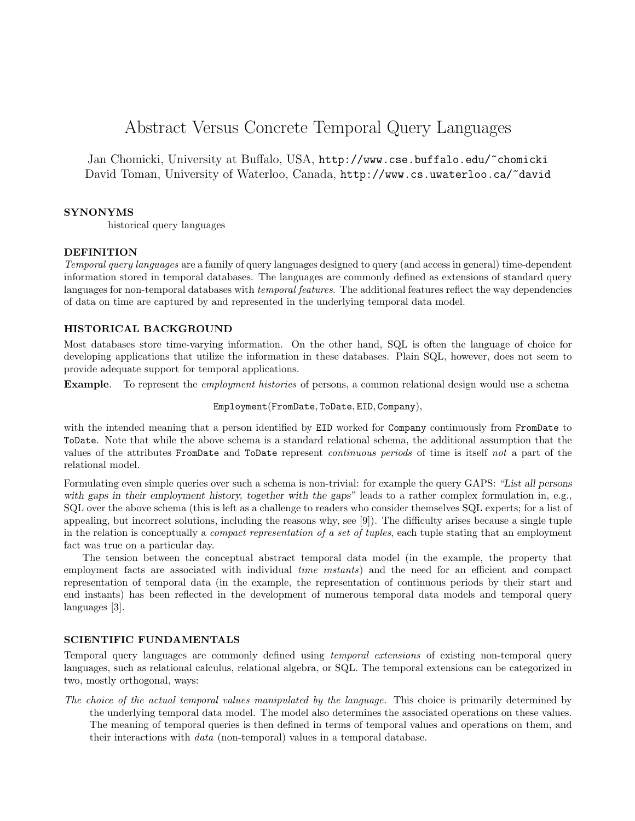# Abstract Versus Concrete Temporal Query Languages

Jan Chomicki, University at Buffalo, USA, http://www.cse.buffalo.edu/~chomicki David Toman, University of Waterloo, Canada, http://www.cs.uwaterloo.ca/~david

## SYNONYMS

historical query languages

## DEFINITION

Temporal query languages are a family of query languages designed to query (and access in general) time-dependent information stored in temporal databases. The languages are commonly defined as extensions of standard query languages for non-temporal databases with *temporal features*. The additional features reflect the way dependencies of data on time are captured by and represented in the underlying temporal data model.

## HISTORICAL BACKGROUND

Most databases store time-varying information. On the other hand, SQL is often the language of choice for developing applications that utilize the information in these databases. Plain SQL, however, does not seem to provide adequate support for temporal applications.

Example. To represent the *employment histories* of persons, a common relational design would use a schema

### Employment(FromDate, ToDate, EID, Company),

with the intended meaning that a person identified by EID worked for Company continuously from FromDate to ToDate. Note that while the above schema is a standard relational schema, the additional assumption that the values of the attributes FromDate and ToDate represent continuous periods of time is itself not a part of the relational model.

Formulating even simple queries over such a schema is non-trivial: for example the query GAPS: "List all persons with gaps in their employment history, together with the gaps" leads to a rather complex formulation in, e.g., SQL over the above schema (this is left as a challenge to readers who consider themselves SQL experts; for a list of appealing, but incorrect solutions, including the reasons why, see [9]). The difficulty arises because a single tuple in the relation is conceptually a *compact representation of a set of tuples*, each tuple stating that an employment fact was true on a particular day.

The tension between the conceptual abstract temporal data model (in the example, the property that employment facts are associated with individual time instants) and the need for an efficient and compact representation of temporal data (in the example, the representation of continuous periods by their start and end instants) has been reflected in the development of numerous temporal data models and temporal query languages [3].

## SCIENTIFIC FUNDAMENTALS

Temporal query languages are commonly defined using temporal extensions of existing non-temporal query languages, such as relational calculus, relational algebra, or SQL. The temporal extensions can be categorized in two, mostly orthogonal, ways:

The choice of the actual temporal values manipulated by the language. This choice is primarily determined by the underlying temporal data model. The model also determines the associated operations on these values. The meaning of temporal queries is then defined in terms of temporal values and operations on them, and their interactions with data (non-temporal) values in a temporal database.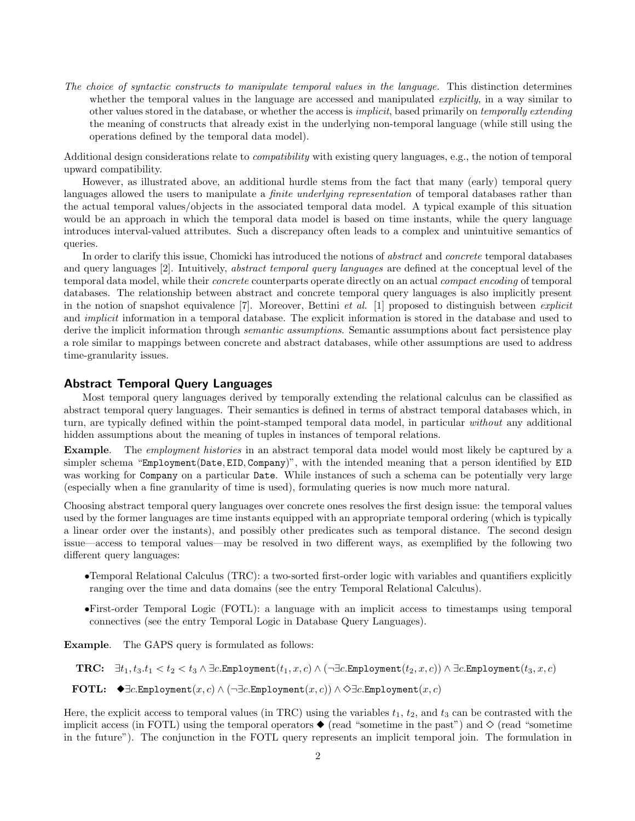The choice of syntactic constructs to manipulate temporal values in the language. This distinction determines whether the temporal values in the language are accessed and manipulated *explicitly*, in a way similar to other values stored in the database, or whether the access is implicit, based primarily on temporally extending the meaning of constructs that already exist in the underlying non-temporal language (while still using the operations defined by the temporal data model).

Additional design considerations relate to compatibility with existing query languages, e.g., the notion of temporal upward compatibility.

However, as illustrated above, an additional hurdle stems from the fact that many (early) temporal query languages allowed the users to manipulate a *finite underlying representation* of temporal databases rather than the actual temporal values/objects in the associated temporal data model. A typical example of this situation would be an approach in which the temporal data model is based on time instants, while the query language introduces interval-valued attributes. Such a discrepancy often leads to a complex and unintuitive semantics of queries.

In order to clarify this issue, Chomicki has introduced the notions of *abstract* and *concrete* temporal databases and query languages [2]. Intuitively, abstract temporal query languages are defined at the conceptual level of the temporal data model, while their concrete counterparts operate directly on an actual compact encoding of temporal databases. The relationship between abstract and concrete temporal query languages is also implicitly present in the notion of snapshot equivalence [7]. Moreover, Bettini et al. [1] proposed to distinguish between explicit and implicit information in a temporal database. The explicit information is stored in the database and used to derive the implicit information through *semantic assumptions*. Semantic assumptions about fact persistence play a role similar to mappings between concrete and abstract databases, while other assumptions are used to address time-granularity issues.

## Abstract Temporal Query Languages

Most temporal query languages derived by temporally extending the relational calculus can be classified as abstract temporal query languages. Their semantics is defined in terms of abstract temporal databases which, in turn, are typically defined within the point-stamped temporal data model, in particular without any additional hidden assumptions about the meaning of tuples in instances of temporal relations.

Example. The employment histories in an abstract temporal data model would most likely be captured by a simpler schema "Employment(Date, EID, Company)", with the intended meaning that a person identified by EID was working for Company on a particular Date. While instances of such a schema can be potentially very large (especially when a fine granularity of time is used), formulating queries is now much more natural.

Choosing abstract temporal query languages over concrete ones resolves the first design issue: the temporal values used by the former languages are time instants equipped with an appropriate temporal ordering (which is typically a linear order over the instants), and possibly other predicates such as temporal distance. The second design issue—access to temporal values—may be resolved in two different ways, as exemplified by the following two different query languages:

- •Temporal Relational Calculus (TRC): a two-sorted first-order logic with variables and quantifiers explicitly ranging over the time and data domains (see the entry Temporal Relational Calculus).
- •First-order Temporal Logic (FOTL): a language with an implicit access to timestamps using temporal connectives (see the entry Temporal Logic in Database Query Languages).

Example. The GAPS query is formulated as follows:

TRC:  $\exists t_1, t_3. t_1 < t_2 < t_3 \land \exists c$ .Employment $(t_1, x, c) \land (\neg \exists c$ .Employment $(t_2, x, c) \land \exists c$ .Employment $(t_3, x, c)$ 

FOTL:  $\blacklozenge$  ∃c.Employment $(x, c) \wedge (\neg \exists c$ .Employment $(x, c)) \wedge \Diamond \exists c$ .Employment $(x, c)$ 

Here, the explicit access to temporal values (in TRC) using the variables  $t_1$ ,  $t_2$ , and  $t_3$  can be contrasted with the implicit access (in FOTL) using the temporal operators  $\bullet$  (read "sometime in the past") and  $\diamond$  (read "sometime in the future"). The conjunction in the FOTL query represents an implicit temporal join. The formulation in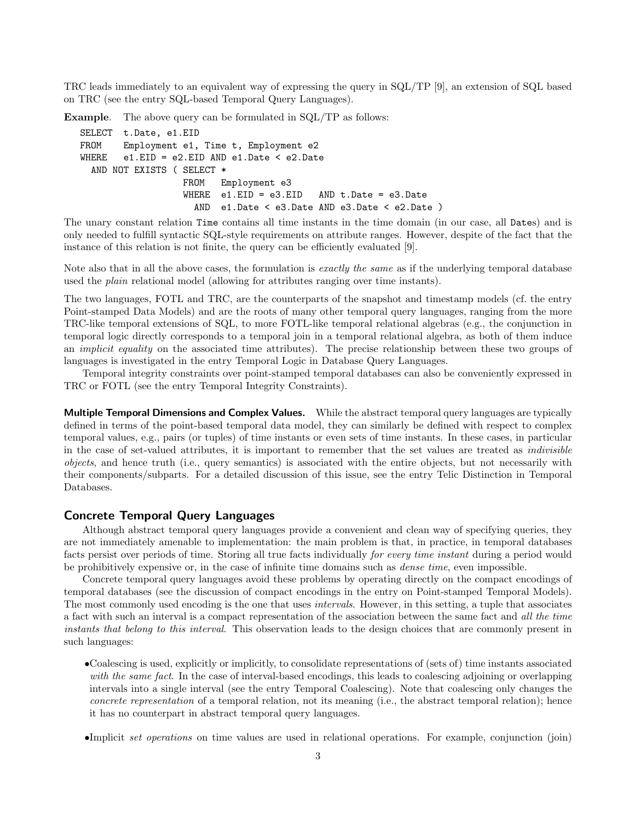TRC leads immediately to an equivalent way of expressing the query in SQL/TP [9], an extension of SQL based on TRC (see the entry SQL-based Temporal Query Languages).

Example. The above query can be formulated in SQL/TP as follows:

```
SELECT t.Date, e1.EID
FROM Employment e1, Time t, Employment e2
WHERE e1.EID = e2.EID AND e1.Date < e2.DateAND NOT EXISTS ( SELECT *
                  FROM Employment e3
                  WHERE e1.EID = e3.EID AND t.Date = e3.DateAND e1.Date < e3.Date AND e3.Date < e2.Date )
```
The unary constant relation Time contains all time instants in the time domain (in our case, all Dates) and is only needed to fulfill syntactic SQL-style requirements on attribute ranges. However, despite of the fact that the instance of this relation is not finite, the query can be efficiently evaluated [9].

Note also that in all the above cases, the formulation is exactly the same as if the underlying temporal database used the plain relational model (allowing for attributes ranging over time instants).

The two languages, FOTL and TRC, are the counterparts of the snapshot and timestamp models (cf. the entry Point-stamped Data Models) and are the roots of many other temporal query languages, ranging from the more TRC-like temporal extensions of SQL, to more FOTL-like temporal relational algebras (e.g., the conjunction in temporal logic directly corresponds to a temporal join in a temporal relational algebra, as both of them induce an implicit equality on the associated time attributes). The precise relationship between these two groups of languages is investigated in the entry Temporal Logic in Database Query Languages.

Temporal integrity constraints over point-stamped temporal databases can also be conveniently expressed in TRC or FOTL (see the entry Temporal Integrity Constraints).

**Multiple Temporal Dimensions and Complex Values.** While the abstract temporal query languages are typically defined in terms of the point-based temporal data model, they can similarly be defined with respect to complex temporal values, e.g., pairs (or tuples) of time instants or even sets of time instants. In these cases, in particular in the case of set-valued attributes, it is important to remember that the set values are treated as indivisible objects, and hence truth (i.e., query semantics) is associated with the entire objects, but not necessarily with their components/subparts. For a detailed discussion of this issue, see the entry Telic Distinction in Temporal Databases.

## Concrete Temporal Query Languages

Although abstract temporal query languages provide a convenient and clean way of specifying queries, they are not immediately amenable to implementation: the main problem is that, in practice, in temporal databases facts persist over periods of time. Storing all true facts individually for every time instant during a period would be prohibitively expensive or, in the case of infinite time domains such as dense time, even impossible.

Concrete temporal query languages avoid these problems by operating directly on the compact encodings of temporal databases (see the discussion of compact encodings in the entry on Point-stamped Temporal Models). The most commonly used encoding is the one that uses *intervals*. However, in this setting, a tuple that associates a fact with such an interval is a compact representation of the association between the same fact and all the time instants that belong to this interval. This observation leads to the design choices that are commonly present in such languages:

•Coalescing is used, explicitly or implicitly, to consolidate representations of (sets of) time instants associated with the same fact. In the case of interval-based encodings, this leads to coalescing adjoining or overlapping intervals into a single interval (see the entry Temporal Coalescing). Note that coalescing only changes the concrete representation of a temporal relation, not its meaning (i.e., the abstract temporal relation); hence it has no counterpart in abstract temporal query languages.

•Implicit set operations on time values are used in relational operations. For example, conjunction (join)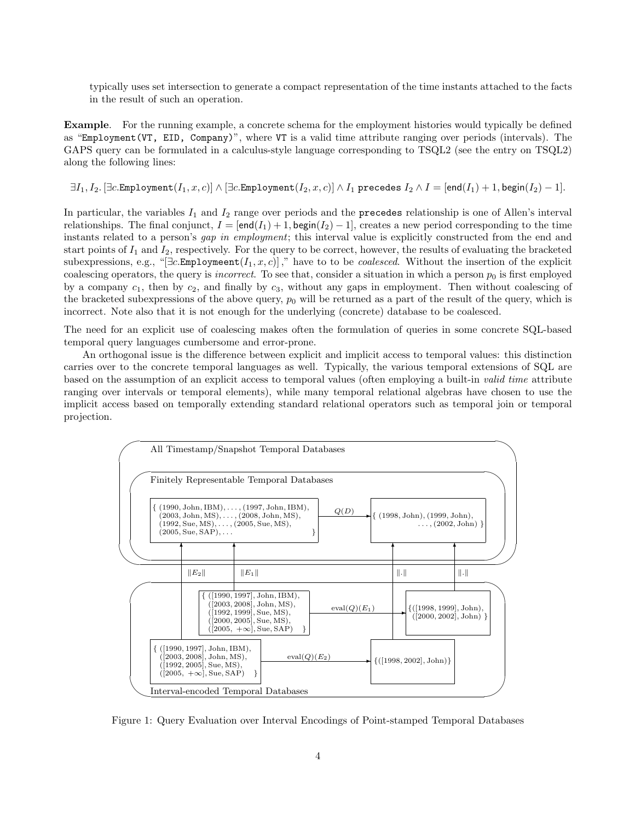typically uses set intersection to generate a compact representation of the time instants attached to the facts in the result of such an operation.

Example. For the running example, a concrete schema for the employment histories would typically be defined as "Employment(VT, EID, Company)", where VT is a valid time attribute ranging over periods (intervals). The GAPS query can be formulated in a calculus-style language corresponding to TSQL2 (see the entry on TSQL2) along the following lines:

 $\exists I_1, I_2$ .  $[\exists c$ .Employment $(I_1, x, c)] \wedge [\exists c$ .Employment $(I_2, x, c)] \wedge I_1$  precedes  $I_2 \wedge I = [\text{end}(I_1) + 1$ , begin $(I_2) - 1]$ .

In particular, the variables  $I_1$  and  $I_2$  range over periods and the precedes relationship is one of Allen's interval relationships. The final conjunct,  $I = [\text{end}(I_1) + 1$ , begin $(I_2) - 1$ , creates a new period corresponding to the time instants related to a person's gap in employment; this interval value is explicitly constructed from the end and start points of  $I_1$  and  $I_2$ , respectively. For the query to be correct, however, the results of evaluating the bracketed subexpressions, e.g., "[∃c.Employmeent $(I_1, x, c)$ ]," have to to be *coalesced*. Without the insertion of the explicit coalescing operators, the query is *incorrect*. To see that, consider a situation in which a person  $p_0$  is first employed by a company  $c_1$ , then by  $c_2$ , and finally by  $c_3$ , without any gaps in employment. Then without coalescing of the bracketed subexpressions of the above query,  $p_0$  will be returned as a part of the result of the query, which is incorrect. Note also that it is not enough for the underlying (concrete) database to be coalesced.

The need for an explicit use of coalescing makes often the formulation of queries in some concrete SQL-based temporal query languages cumbersome and error-prone.

An orthogonal issue is the difference between explicit and implicit access to temporal values: this distinction carries over to the concrete temporal languages as well. Typically, the various temporal extensions of SQL are based on the assumption of an explicit access to temporal values (often employing a built-in valid time attribute ranging over intervals or temporal elements), while many temporal relational algebras have chosen to use the implicit access based on temporally extending standard relational operators such as temporal join or temporal projection.



Figure 1: Query Evaluation over Interval Encodings of Point-stamped Temporal Databases